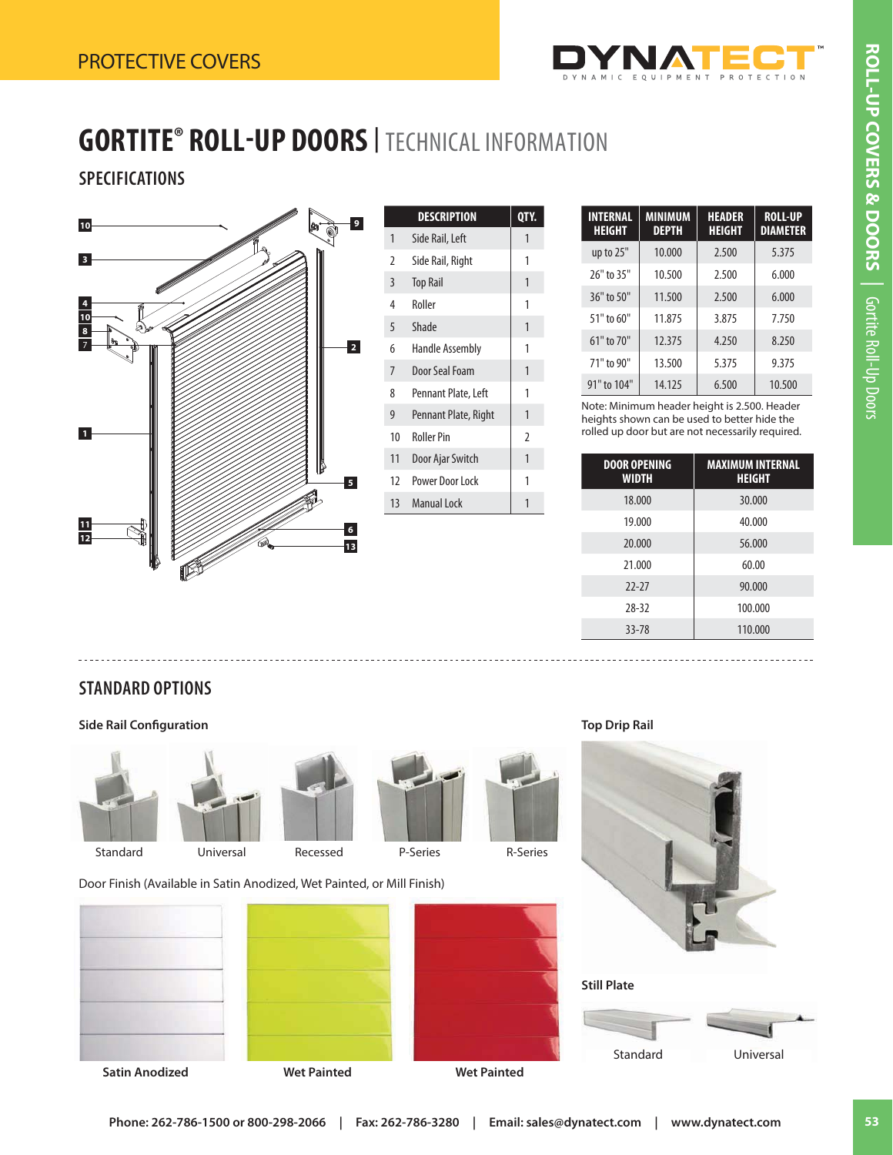

## **GORTITE® ROLL-UP DOORS<sup>|</sup>** TECHNICAL INFORMATION

## **SPECIFICATIONS**



|                | QTY.                   |                |
|----------------|------------------------|----------------|
| 1              | Side Rail, Left        | 1              |
| 2              | Side Rail, Right       | 1              |
| 3              | <b>Top Rail</b>        | 1              |
| 4              | Roller                 | 1              |
| 5              | Shade                  | 1              |
| 6              | <b>Handle Assembly</b> | 1              |
| $\overline{7}$ | Door Seal Foam         | 1              |
| 8              | Pennant Plate, Left    | 1              |
| 9              | Pennant Plate, Right   | 1              |
| 10             | <b>Roller Pin</b>      | $\overline{2}$ |
| 11             | Door Ajar Switch<br>1  |                |
| 12             | Power Door Lock<br>1   |                |
| 13             | <b>Manual Lock</b>     | 1              |
|                |                        |                |

| <b>INTERNAL</b><br><b>HEIGHT</b> | <b>MINIMUM</b><br><b>DEPTH</b> | <b>HEADER</b><br><b>HEIGHT</b> | <b>ROLL-UP</b><br><b>DIAMETER</b> |
|----------------------------------|--------------------------------|--------------------------------|-----------------------------------|
| up to 25"                        | 10.000                         | 2.500                          | 5.375                             |
| 26" to 35"                       | 10.500                         | 2.500                          | 6.000                             |
| 36" to 50"                       | 11.500                         | 2.500                          | 6.000                             |
| 51" to 60"                       | 11.875                         | 3.875                          | 7.750                             |
| 61" to 70"                       | 12.375                         | 4.250                          | 8.250                             |
| 71" to 90"                       | 13.500                         | 5.375                          | 9.375                             |
| 91" to 104"                      | 14.125                         | 6.500                          | 10.500                            |

Note: Minimum header height is 2.500. Header heights shown can be used to better hide the rolled up door but are not necessarily required.

| <b>DOOR OPENING</b><br><b>WIDTH</b> | <b>MAXIMUM INTERNAL</b><br><b>HEIGHT</b> |
|-------------------------------------|------------------------------------------|
| 18.000                              | 30.000                                   |
| 19.000                              | 40.000                                   |
| 20.000                              | 56.000                                   |
| 21.000                              | 60.00                                    |
| $77 - 77$                           | 90.000                                   |
| 28-32                               | 100.000                                  |
| 33-78                               | 110.000                                  |

## **STANDARD OPTIONS**

**Side Rail Configuration** 



















Door Finish (Available in Satin Anodized, Wet Painted, or Mill Finish)











**Top Drip Rail**



Standard Universal